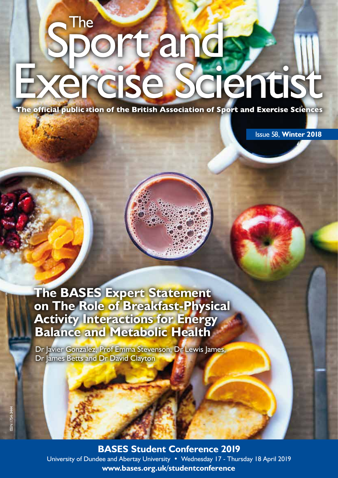# Гhe portands Exercise Scientist The official public ation of the British Association of Sport and Exercise Sciences

Issue 58, **Winter 2018**

**The BASES Expert Statement on The Role of Breakfast-Physical Activity Interactions for Energy Balance and Metabolic Health**

Dr Javier Gonzalez, Prof Emma Stevenson, Dr Lewis James, Dr James Betts and Dr David Clayton

**The Exercise of Scientistic and** *Exercise Christial***, Construction of the Construction of the Second Windows bases.org.uk/studentconference BASES Student Conference 2019** University of Dundee and Abertay University • Wednesday 17 - Thursday 18 April 2019